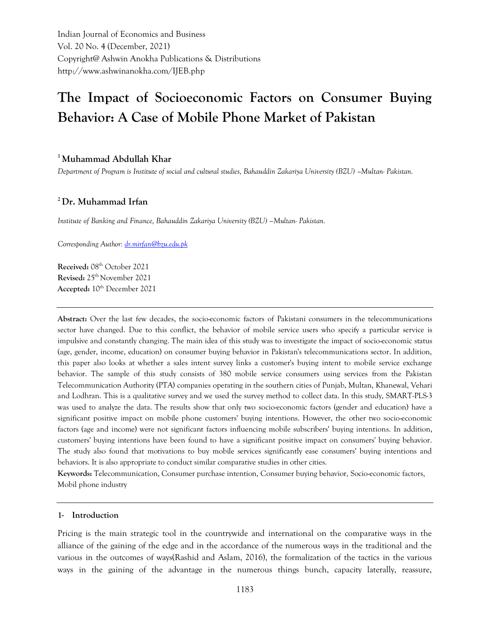Indian Journal of Economics and Business Vol. 20 No. 4 (December, 2021) Copyright@ Ashwin Anokha Publications & Distributions http://www.ashwinanokha.com/IJEB.php

# **The Impact of Socioeconomic Factors on Consumer Buying Behavior: A Case of Mobile Phone Market of Pakistan**

# **<sup>1</sup>Muhammad Abdullah Khar**

*Department of Program is Institute of social and cultural studies, Bahauddin Zakariya University (BZU) –Multan- Pakistan.*

# **<sup>2</sup>Dr. Muhammad Irfan**

*Institute of Banking and Finance, Bahauddin Zakariya University (BZU) –Multan- Pakistan.*

*Corresponding Author[: dr.mirfan@bzu.edu.pk](mailto:dr.mirfan@bzu.edu.pk)*

**Received:** 08th October 2021 **Revised:** 25th November 2021 Accepted:  $10^{th}$  December 2021

**Abstract:** Over the last few decades, the socio-economic factors of Pakistani consumers in the telecommunications sector have changed. Due to this conflict, the behavior of mobile service users who specify a particular service is impulsive and constantly changing. The main idea of this study was to investigate the impact of socio-economic status (age, gender, income, education) on consumer buying behavior in Pakistan's telecommunications sector. In addition, this paper also looks at whether a sales intent survey links a customer's buying intent to mobile service exchange behavior. The sample of this study consists of 380 mobile service consumers using services from the Pakistan Telecommunication Authority (PTA) companies operating in the southern cities of Punjab, Multan, Khanewal, Vehari and Lodhran. This is a qualitative survey and we used the survey method to collect data. In this study, SMART-PLS-3 was used to analyze the data. The results show that only two socio-economic factors (gender and education) have a significant positive impact on mobile phone customers' buying intentions. However, the other two socio-economic factors (age and income) were not significant factors influencing mobile subscribers' buying intentions. In addition, customers' buying intentions have been found to have a significant positive impact on consumers' buying behavior. The study also found that motivations to buy mobile services significantly ease consumers' buying intentions and behaviors. It is also appropriate to conduct similar comparative studies in other cities.

**Keywords:** Telecommunication, Consumer purchase intention, Consumer buying behavior, Socio-economic factors, Mobil phone industry

### **1- Introduction**

Pricing is the main strategic tool in the countrywide and international on the comparative ways in the alliance of the gaining of the edge and in the accordance of the numerous ways in the traditional and the various in the outcomes of ways(Rashid and Aslam, 2016), the formalization of the tactics in the various ways in the gaining of the advantage in the numerous things bunch, capacity laterally, reassure,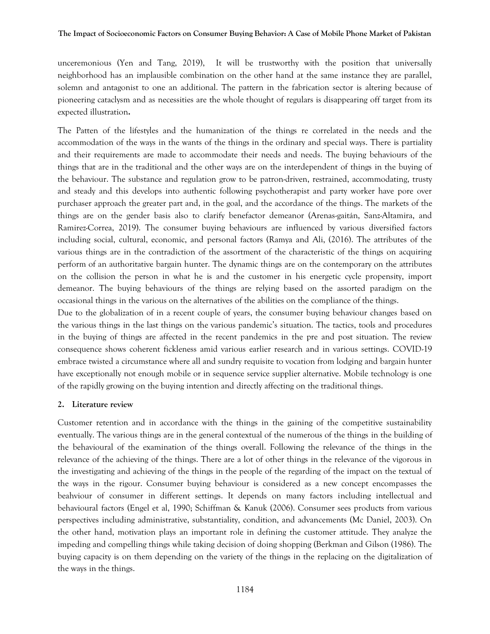unceremonious (Yen and Tang, 2019), It will be trustworthy with the position that universally neighborhood has an implausible combination on the other hand at the same instance they are parallel, solemn and antagonist to one an additional. The pattern in the fabrication sector is altering because of pioneering cataclysm and as necessities are the whole thought of regulars is disappearing off target from its expected illustration**.**

The Patten of the lifestyles and the humanization of the things re correlated in the needs and the accommodation of the ways in the wants of the things in the ordinary and special ways. There is partiality and their requirements are made to accommodate their needs and needs. The buying behaviours of the things that are in the traditional and the other ways are on the interdependent of things in the buying of the behaviour. The substance and regulation grow to be patron-driven, restrained, accommodating, trusty and steady and this develops into authentic following psychotherapist and party worker have pore over purchaser approach the greater part and, in the goal, and the accordance of the things. The markets of the things are on the gender basis also to clarify benefactor demeanor (Arenas-gaitán, Sanz-Altamira, and Ramirez-Correa, 2019). The consumer buying behaviours are influenced by various diversified factors including social, cultural, economic, and personal factors (Ramya and Ali, (2016). The attributes of the various things are in the contradiction of the assortment of the characteristic of the things on acquiring perform of an authoritative bargain hunter. The dynamic things are on the contemporary on the attributes on the collision the person in what he is and the customer in his energetic cycle propensity, import demeanor. The buying behaviours of the things are relying based on the assorted paradigm on the occasional things in the various on the alternatives of the abilities on the compliance of the things.

Due to the globalization of in a recent couple of years, the consumer buying behaviour changes based on the various things in the last things on the various pandemic's situation. The tactics, tools and procedures in the buying of things are affected in the recent pandemics in the pre and post situation. The review consequence shows coherent fickleness amid various earlier research and in various settings. COVID-19 embrace twisted a circumstance where all and sundry requisite to vocation from lodging and bargain hunter have exceptionally not enough mobile or in sequence service supplier alternative. Mobile technology is one of the rapidly growing on the buying intention and directly affecting on the traditional things.

## **2. Literature review**

Customer retention and in accordance with the things in the gaining of the competitive sustainability eventually. The various things are in the general contextual of the numerous of the things in the building of the behavioural of the examination of the things overall. Following the relevance of the things in the relevance of the achieving of the things. There are a lot of other things in the relevance of the vigorous in the investigating and achieving of the things in the people of the regarding of the impact on the textual of the ways in the rigour. Consumer buying behaviour is considered as a new concept encompasses the beahviour of consumer in different settings. It depends on many factors including intellectual and behavioural factors (Engel et al, 1990; Schiffman & Kanuk (2006). Consumer sees products from various perspectives including administrative, substantiality, condition, and advancements (Mc Daniel, 2003). On the other hand, motivation plays an important role in defining the customer attitude. They analyze the impeding and compelling things while taking decision of doing shopping (Berkman and Gilson (1986). The buying capacity is on them depending on the variety of the things in the replacing on the digitalization of the ways in the things.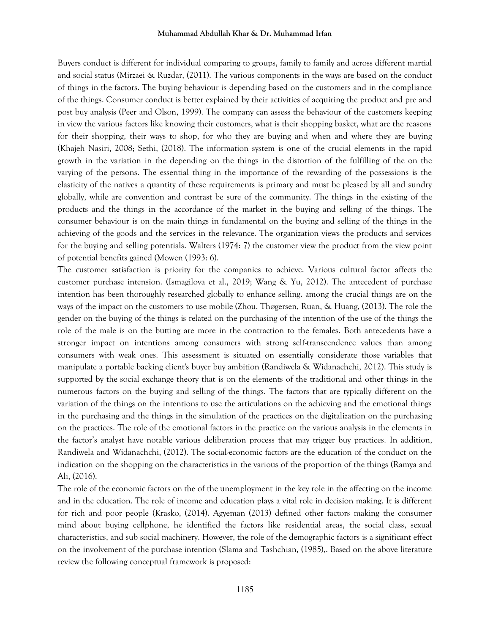Buyers conduct is different for individual comparing to groups, family to family and across different martial and social status (Mirzaei & Ruzdar, (2011). The various components in the ways are based on the conduct of things in the factors. The buying behaviour is depending based on the customers and in the compliance of the things. Consumer conduct is better explained by their activities of acquiring the product and pre and post buy analysis (Peer and Olson, 1999). The company can assess the behaviour of the customers keeping in view the various factors like knowing their customers, what is their shopping basket, what are the reasons for their shopping, their ways to shop, for who they are buying and when and where they are buying (Khajeh Nasiri, 2008; Sethi, (2018). The information system is one of the crucial elements in the rapid growth in the variation in the depending on the things in the distortion of the fulfilling of the on the varying of the persons. The essential thing in the importance of the rewarding of the possessions is the elasticity of the natives a quantity of these requirements is primary and must be pleased by all and sundry globally, while are convention and contrast be sure of the community. The things in the existing of the products and the things in the accordance of the market in the buying and selling of the things. The consumer behaviour is on the main things in fundamental on the buying and selling of the things in the achieving of the goods and the services in the relevance. The organization views the products and services for the buying and selling potentials. Walters (1974: 7) the customer view the product from the view point of potential benefits gained (Mowen (1993: 6).

The customer satisfaction is priority for the companies to achieve. Various cultural factor affects the customer purchase intension. (Ismagilova et al., 2019; Wang & Yu, 2012). The antecedent of purchase intention has been thoroughly researched globally to enhance selling. among the crucial things are on the ways of the impact on the customers to use mobile (Zhou, Thøgersen, Ruan, & Huang, (2013). The role the gender on the buying of the things is related on the purchasing of the intention of the use of the things the role of the male is on the butting are more in the contraction to the females. Both antecedents have a stronger impact on intentions among consumers with strong self-transcendence values than among consumers with weak ones. This assessment is situated on essentially considerate those variables that manipulate a portable backing client's buyer buy ambition (Randiwela & Widanachchi, 2012). This study is supported by the social exchange theory that is on the elements of the traditional and other things in the numerous factors on the buying and selling of the things. The factors that are typically different on the variation of the things on the intentions to use the articulations on the achieving and the emotional things in the purchasing and the things in the simulation of the practices on the digitalization on the purchasing on the practices. The role of the emotional factors in the practice on the various analysis in the elements in the factor's analyst have notable various deliberation process that may trigger buy practices. In addition, Randiwela and Widanachchi, (2012). The social-economic factors are the education of the conduct on the indication on the shopping on the characteristics in the various of the proportion of the things (Ramya and Ali, (2016).

The role of the economic factors on the of the unemployment in the key role in the affecting on the income and in the education. The role of income and education plays a vital role in decision making. It is different for rich and poor people (Krasko, (2014). Agyeman (2013) defined other factors making the consumer mind about buying cellphone, he identified the factors like residential areas, the social class, sexual characteristics, and sub social machinery. However, the role of the demographic factors is a significant effect on the involvement of the purchase intention (Slama and Tashchian, (1985),. Based on the above literature review the following conceptual framework is proposed: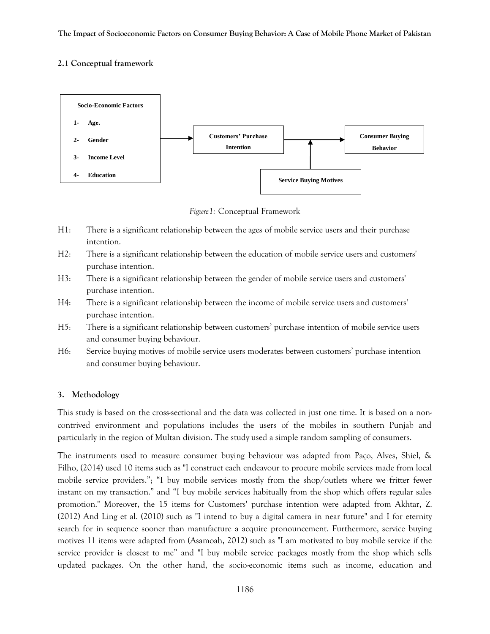# **2.1 Conceptual framework**



*Figure1:* Conceptual Framework

- H1: There is a significant relationship between the ages of mobile service users and their purchase intention.
- H2: There is a significant relationship between the education of mobile service users and customers' purchase intention.
- H3: There is a significant relationship between the gender of mobile service users and customers' purchase intention.
- H4: There is a significant relationship between the income of mobile service users and customers' purchase intention.
- H5: There is a significant relationship between customers' purchase intention of mobile service users and consumer buying behaviour.
- H6: Service buying motives of mobile service users moderates between customers' purchase intention and consumer buying behaviour.

# **3. Methodology**

This study is based on the cross-sectional and the data was collected in just one time. It is based on a noncontrived environment and populations includes the users of the mobiles in southern Punjab and particularly in the region of Multan division. The study used a simple random sampling of consumers.

The instruments used to measure consumer buying behaviour was adapted from Paço, Alves, Shiel, & Filho, (2014) used 10 items such as "I construct each endeavour to procure mobile services made from local mobile service providers."; "I buy mobile services mostly from the shop/outlets where we fritter fewer instant on my transaction." and "I buy mobile services habitually from the shop which offers regular sales promotion." Moreover, the 15 items for Customers' purchase intention were adapted from Akhtar, Z. (2012) And Ling et al. (2010) such as "I intend to buy a digital camera in near future" and I for eternity search for in sequence sooner than manufacture a acquire pronouncement. Furthermore, service buying motives 11 items were adapted from (Asamoah, 2012) such as "I am motivated to buy mobile service if the service provider is closest to me" and "I buy mobile service packages mostly from the shop which sells updated packages. On the other hand, the socio-economic items such as income, education and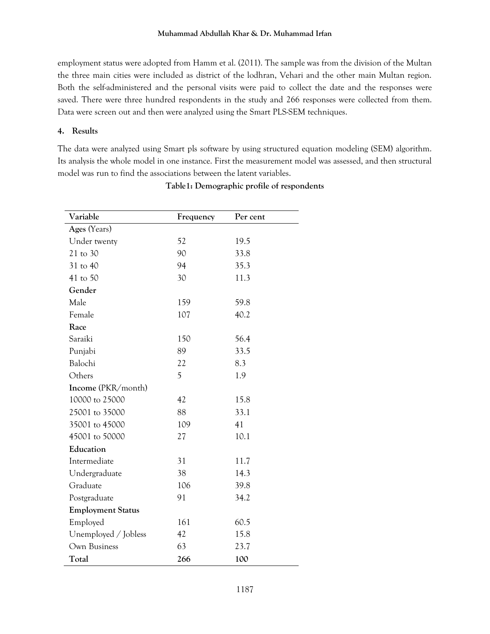employment status were adopted from Hamm et al. (2011). The sample was from the division of the Multan the three main cities were included as district of the lodhran, Vehari and the other main Multan region. Both the self-administered and the personal visits were paid to collect the date and the responses were saved. There were three hundred respondents in the study and 266 responses were collected from them. Data were screen out and then were analyzed using the Smart PLS-SEM techniques.

## **4. Results**

The data were analyzed using Smart pls software by using structured equation modeling (SEM) algorithm. Its analysis the whole model in one instance. First the measurement model was assessed, and then structural model was run to find the associations between the latent variables.

| Variable                  | Frequency | Per cent |  |  |  |  |  |  |
|---------------------------|-----------|----------|--|--|--|--|--|--|
| Ages (Years)              |           |          |  |  |  |  |  |  |
| Under twenty              | 52        | 19.5     |  |  |  |  |  |  |
| 21 to 30                  | 90        | 33.8     |  |  |  |  |  |  |
| 31 to 40                  | 94        | 35.3     |  |  |  |  |  |  |
| 41 to 50                  | 30        | 11.3     |  |  |  |  |  |  |
| Gender                    |           |          |  |  |  |  |  |  |
| Male                      | 159       | 59.8     |  |  |  |  |  |  |
| Female                    | 107       | 40.2     |  |  |  |  |  |  |
| Race                      |           |          |  |  |  |  |  |  |
| Saraiki                   | 150       | 56.4     |  |  |  |  |  |  |
| Punjabi                   | 89        | 33.5     |  |  |  |  |  |  |
| Balochi                   | 22        | 8.3      |  |  |  |  |  |  |
| Others                    | 5         | 1.9      |  |  |  |  |  |  |
| <b>Income</b> (PKR/month) |           |          |  |  |  |  |  |  |
| 10000 to 25000            | 42        | 15.8     |  |  |  |  |  |  |
| 25001 to 35000            | 88        | 33.1     |  |  |  |  |  |  |
| 35001 to 45000            | 109       | 41       |  |  |  |  |  |  |
| 45001 to 50000            | 27        | 10.1     |  |  |  |  |  |  |
| Education                 |           |          |  |  |  |  |  |  |
| Intermediate              | 31        | 11.7     |  |  |  |  |  |  |
| Undergraduate             | 38        | 14.3     |  |  |  |  |  |  |
| Graduate                  | 106       | 39.8     |  |  |  |  |  |  |
| Postgraduate              | 91        | 34.2     |  |  |  |  |  |  |
| <b>Employment Status</b>  |           |          |  |  |  |  |  |  |
| Employed                  | 161       | 60.5     |  |  |  |  |  |  |
| Unemployed / Jobless      | 42        | 15.8     |  |  |  |  |  |  |
| Own Business              | 63        | 23.7     |  |  |  |  |  |  |
| Total                     | 266       | 100      |  |  |  |  |  |  |

# **Table1: Demographic profile of respondents**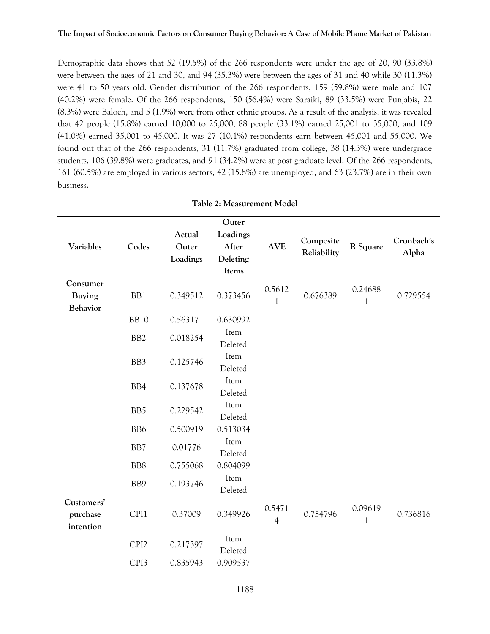#### **The Impact of Socioeconomic Factors on Consumer Buying Behavior: A Case of Mobile Phone Market of Pakistan**

Demographic data shows that 52 (19.5%) of the 266 respondents were under the age of 20, 90 (33.8%) were between the ages of 21 and 30, and 94 (35.3%) were between the ages of 31 and 40 while 30 (11.3%) were 41 to 50 years old. Gender distribution of the 266 respondents, 159 (59.8%) were male and 107 (40.2%) were female. Of the 266 respondents, 150 (56.4%) were Saraiki, 89 (33.5%) were Punjabis, 22 (8.3%) were Baloch, and 5 (1.9%) were from other ethnic groups. As a result of the analysis, it was revealed that 42 people (15.8%) earned 10,000 to 25,000, 88 people (33.1%) earned 25,001 to 35,000, and 109 (41.0%) earned 35,001 to 45,000. It was 27 (10.1%) respondents earn between 45,001 and 55,000. We found out that of the 266 respondents, 31 (11.7%) graduated from college, 38 (14.3%) were undergrade students, 106 (39.8%) were graduates, and 91 (34.2%) were at post graduate level. Of the 266 respondents, 161 (60.5%) are employed in various sectors, 42 (15.8%) are unemployed, and 63 (23.7%) are in their own business.

| Variables                                    | Codes            | Actual<br>Outer<br>Loadings | Outer<br>Loadings<br>After<br>Deleting<br>Items | <b>AVE</b>               | Composite<br>Reliability | R Square                | Cronbach's<br>Alpha |
|----------------------------------------------|------------------|-----------------------------|-------------------------------------------------|--------------------------|--------------------------|-------------------------|---------------------|
| Consumer<br><b>Buying</b><br><b>Behavior</b> | BB1              | 0.349512                    | 0.373456                                        | 0.5612<br>1              | 0.676389                 | 0.24688<br>$\mathbf{1}$ | 0.729554            |
|                                              | <b>BB10</b>      | 0.563171                    | 0.630992                                        |                          |                          |                         |                     |
|                                              | BB <sub>2</sub>  | 0.018254                    | Item<br>Deleted                                 |                          |                          |                         |                     |
|                                              | BB3              | 0.125746                    | Item<br>Deleted                                 |                          |                          |                         |                     |
|                                              | BB4              | 0.137678                    | Item<br>Deleted                                 |                          |                          |                         |                     |
|                                              | BB5              | 0.229542                    | Item<br>Deleted                                 |                          |                          |                         |                     |
|                                              | BB <sub>6</sub>  | 0.500919                    | 0.513034                                        |                          |                          |                         |                     |
|                                              | B <sub>B</sub> 7 | 0.01776                     | Item<br>Deleted                                 |                          |                          |                         |                     |
|                                              | BB8              | 0.755068                    | 0.804099                                        |                          |                          |                         |                     |
|                                              | BB9              | 0.193746                    | Item<br>Deleted                                 |                          |                          |                         |                     |
| Customers'<br>purchase<br>intention          | CPI1             | 0.37009                     | 0.349926                                        | 0.5471<br>$\overline{4}$ | 0.754796                 | 0.09619<br>$\mathbf{1}$ | 0.736816            |
|                                              | CPI <sub>2</sub> | 0.217397                    | Item<br>Deleted                                 |                          |                          |                         |                     |
|                                              | CPI3             | 0.835943                    | 0.909537                                        |                          |                          |                         |                     |

|  | Table 2: Measurement Model |  |
|--|----------------------------|--|
|--|----------------------------|--|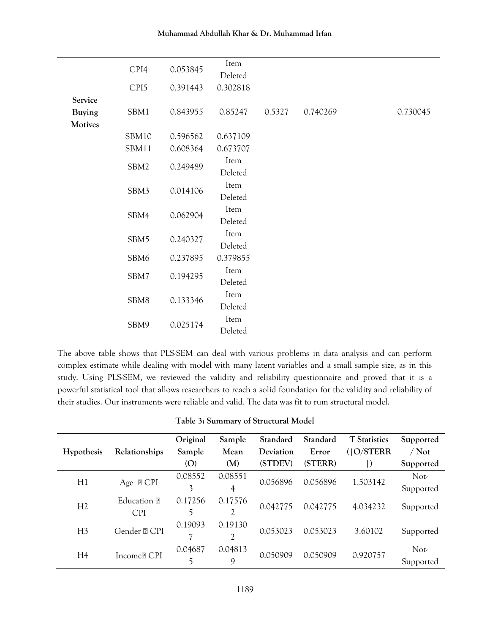|               | CPI4             | 0.053845 | Item<br>Deleted |        |          |          |
|---------------|------------------|----------|-----------------|--------|----------|----------|
|               | CPI <sub>5</sub> | 0.391443 | 0.302818        |        |          |          |
| Service       |                  |          |                 |        |          |          |
| <b>Buying</b> | SBM1             | 0.843955 | 0.85247         | 0.5327 | 0.740269 | 0.730045 |
| Motives       |                  |          |                 |        |          |          |
|               | SBM10            | 0.596562 | 0.637109        |        |          |          |
|               | SBM11            | 0.608364 | 0.673707        |        |          |          |
|               | SBM2             | 0.249489 | Item            |        |          |          |
|               |                  |          | Deleted         |        |          |          |
|               | SBM3             | 0.014106 | Item<br>Deleted |        |          |          |
|               |                  |          | Item            |        |          |          |
|               | SBM4             | 0.062904 | Deleted         |        |          |          |
|               | SBM5             | 0.240327 | Item            |        |          |          |
|               |                  |          | Deleted         |        |          |          |
|               | SBM6             | 0.237895 | 0.379855        |        |          |          |
|               | SBM7             | 0.194295 | Item            |        |          |          |
|               |                  |          | Deleted         |        |          |          |
|               | SBM8             | 0.133346 | Item            |        |          |          |
|               |                  |          | Deleted         |        |          |          |
|               | SBM9             | 0.025174 | Item            |        |          |          |
|               |                  |          | Deleted         |        |          |          |

The above table shows that PLS-SEM can deal with various problems in data analysis and can perform complex estimate while dealing with model with many latent variables and a small sample size, as in this study. Using PLS-SEM, we reviewed the validity and reliability questionnaire and proved that it is a powerful statistical tool that allows researchers to reach a solid foundation for the validity and reliability of their studies. Our instruments were reliable and valid. The data was fit to rum structural model.

| Table 3: Summary of Structural Model |  |  |
|--------------------------------------|--|--|
|--------------------------------------|--|--|

|                   |                           | Original | Sample  | Standard  | Standard | <b>T</b> Statistics | Supported |
|-------------------|---------------------------|----------|---------|-----------|----------|---------------------|-----------|
| <b>Hypothesis</b> | Relationships             | Sample   | Mean    | Deviation | Error    | $($   O/STERR       | $/$ Not   |
|                   |                           | (O)      | (M)     | (STDEV)   | (STERR)  | $\vert$             | Supported |
|                   | Age $\mathbb{P}$ CPI      | 0.08552  | 0.08551 | 0.056896  | 0.056896 | 1.503142            | Not-      |
| H1                |                           | 3        | 4       |           |          |                     | Supported |
| H2                | Education P<br><b>CPI</b> | 0.17256  | 0.17576 | 0.042775  | 0.042775 | 4.034232            |           |
|                   |                           | 5        | 2       |           |          |                     | Supported |
| H <sub>3</sub>    |                           | 0.19093  | 0.19130 | 0.053023  | 0.053023 | 3.60102             |           |
|                   | Gender ? CPI              | 7        | 2       |           |          |                     | Supported |
| H <sub>4</sub>    | Income <sup>[2]</sup> CPI | 0.04687  | 0.04813 | 0.050909  | 0.050909 | 0.920757            | Not-      |
|                   |                           | 5        | 9       |           |          |                     | Supported |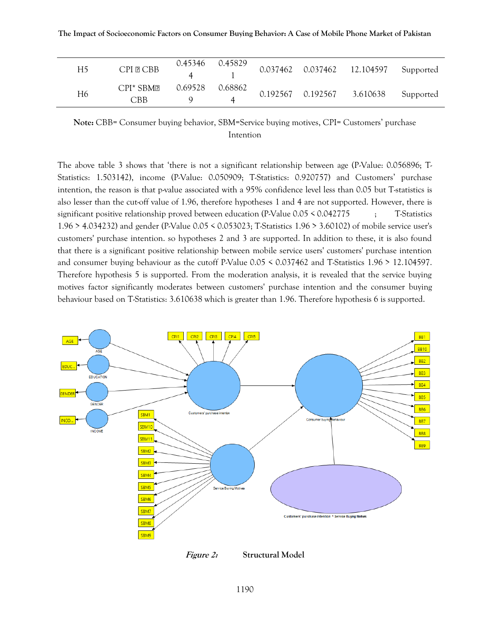| H5 | <b>CPI PICBB</b>  | 0.45346 | 0.45829      |                            | 0.037462  0.037462  12.104597  Supported |           |
|----|-------------------|---------|--------------|----------------------------|------------------------------------------|-----------|
| H6 | $CPI*SBM2$<br>CBB | 0.69528 | 0.68862<br>4 | 0.192567 0.192567 3.610638 |                                          | Supported |

**Note:** CBB= Consumer buying behavior, SBM=Service buying motives, CPI= Customers' purchase Intention

The above table 3 shows that 'there is not a significant relationship between age (P-Value: 0.056896; T-Statistics: 1.503142), income (P-Value: 0.050909; T-Statistics: 0.920757) and Customers' purchase intention, the reason is that p-value associated with a 95% confidence level less than 0.05 but T-statistics is also lesser than the cut-off value of 1.96, therefore hypotheses 1 and 4 are not supported. However, there is significant positive relationship proved between education (P-Value 0.05 < 0.042775 ; T-Statistics 1.96 > 4.034232) and gender (P-Value 0.05 < 0.053023; T-Statistics 1.96 > 3.60102) of mobile service user's customers' purchase intention. so hypotheses 2 and 3 are supported. In addition to these, it is also found that there is a significant positive relationship between mobile service users' customers' purchase intention and consumer buying behaviour as the cutoff P-Value 0.05 < 0.037462 and T-Statistics 1.96 > 12.104597. Therefore hypothesis 5 is supported. From the moderation analysis, it is revealed that the service buying motives factor significantly moderates between customers' purchase intention and the consumer buying behaviour based on T-Statistics: 3.610638 which is greater than 1.96. Therefore hypothesis 6 is supported.



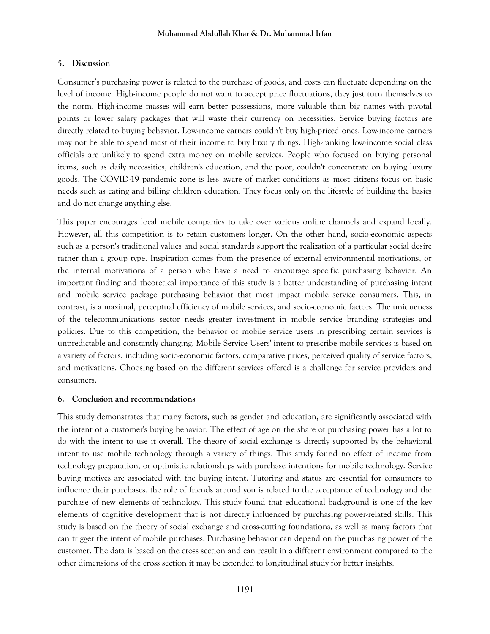## **5. Discussion**

Consumer's purchasing power is related to the purchase of goods, and costs can fluctuate depending on the level of income. High-income people do not want to accept price fluctuations, they just turn themselves to the norm. High-income masses will earn better possessions, more valuable than big names with pivotal points or lower salary packages that will waste their currency on necessities. Service buying factors are directly related to buying behavior. Low-income earners couldn't buy high-priced ones. Low-income earners may not be able to spend most of their income to buy luxury things. High-ranking low-income social class officials are unlikely to spend extra money on mobile services. People who focused on buying personal items, such as daily necessities, children's education, and the poor, couldn't concentrate on buying luxury goods. The COVID-19 pandemic zone is less aware of market conditions as most citizens focus on basic needs such as eating and billing children education. They focus only on the lifestyle of building the basics and do not change anything else.

This paper encourages local mobile companies to take over various online channels and expand locally. However, all this competition is to retain customers longer. On the other hand, socio-economic aspects such as a person's traditional values and social standards support the realization of a particular social desire rather than a group type. Inspiration comes from the presence of external environmental motivations, or the internal motivations of a person who have a need to encourage specific purchasing behavior. An important finding and theoretical importance of this study is a better understanding of purchasing intent and mobile service package purchasing behavior that most impact mobile service consumers. This, in contrast, is a maximal, perceptual efficiency of mobile services, and socio-economic factors. The uniqueness of the telecommunications sector needs greater investment in mobile service branding strategies and policies. Due to this competition, the behavior of mobile service users in prescribing certain services is unpredictable and constantly changing. Mobile Service Users' intent to prescribe mobile services is based on a variety of factors, including socio-economic factors, comparative prices, perceived quality of service factors, and motivations. Choosing based on the different services offered is a challenge for service providers and consumers.

## **6. Conclusion and recommendations**

This study demonstrates that many factors, such as gender and education, are significantly associated with the intent of a customer's buying behavior. The effect of age on the share of purchasing power has a lot to do with the intent to use it overall. The theory of social exchange is directly supported by the behavioral intent to use mobile technology through a variety of things. This study found no effect of income from technology preparation, or optimistic relationships with purchase intentions for mobile technology. Service buying motives are associated with the buying intent. Tutoring and status are essential for consumers to influence their purchases. the role of friends around you is related to the acceptance of technology and the purchase of new elements of technology. This study found that educational background is one of the key elements of cognitive development that is not directly influenced by purchasing power-related skills. This study is based on the theory of social exchange and cross-cutting foundations, as well as many factors that can trigger the intent of mobile purchases. Purchasing behavior can depend on the purchasing power of the customer. The data is based on the cross section and can result in a different environment compared to the other dimensions of the cross section it may be extended to longitudinal study for better insights.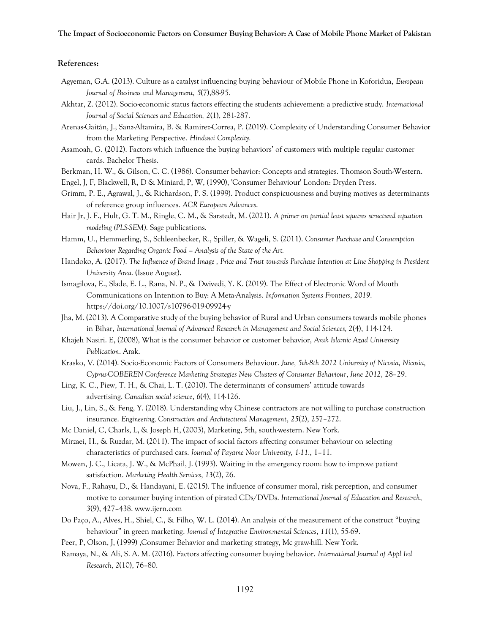#### **References:**

- Agyeman, G.A. (2013). Culture as a catalyst influencing buying behaviour of Mobile Phone in Koforidua, *European Journal of Business and Management, 5*(7),88-95.
- Akhtar, Z. (2012). Socio-economic status factors effecting the students achievement: a predictive study. *International Journal of Social Sciences and Education, 2*(1), 281-287.
- Arenas-Gaitán, J.; Sanz-Altamira, B. & Ramirez-Correa, P. (2019). Complexity of Understanding Consumer Behavior from the Marketing Perspective. *Hindawi Complexity.*
- Asamoah, G. (2012). Factors which influence the buying behaviors' of customers with multiple regular customer cards. Bachelor Thesis.
- Berkman, H. W., & Gilson, C. C. (1986). Consumer behavior: Concepts and strategies. Thomson South-Western.
- Engel, J, F, Blackwell, R, D & Miniard, P, W, (1990), 'Consumer Behaviour' London: Dryden Press.
- Grimm, P. E., Agrawal, J., & Richardson, P. S. (1999). Product conspicuousness and buying motives as determinants of reference group influences. *ACR European Advances*.
- Hair Jr, J. F., Hult, G. T. M., Ringle, C. M., & Sarstedt, M. (2021). *A primer on partial least squares structural equation modeling (PLS-SEM)*. Sage publications.
- Hamm, U., Hemmerling, S., Schleenbecker, R., Spiller, & Wageli, S. (2011). *Consumer Purchase and Consumption Behaviour Regarding Organic Food – Analysis of the State of the Art.*
- Handoko, A. (2017). *The Influence of Brand Image , Price and Trust towards Purchase Intention at Line Shopping in President University Area.* (Issue August).
- Ismagilova, E., Slade, E. L., Rana, N. P., & Dwivedi, Y. K. (2019). The Effect of Electronic Word of Mouth Communications on Intention to Buy: A Meta-Analysis. *Information Systems Frontiers*, *2019*. https://doi.org/10.1007/s10796-019-09924-y
- Jha, M. (2013). A Comparative study of the buying behavior of Rural and Urban consumers towards mobile phones in Bihar, *International Journal of Advanced Research in Management and Social Sciences, 2*(4), 114-124.
- Khajeh Nasiri. E, (2008), What is the consumer behavior or customer behavior, *Arak Islamic Azad University Publication*. Arak.
- Krasko, V. (2014). Socio-Economic Factors of Consumers Behaviour. *June, 5th-8th 2012 University of Nicosia, Nicosia, Cyprus-COBEREN Conference Marketing Strategies New Clusters of Consumer Behaviour*, *June 2012*, 28–29.
- Ling, K. C., Piew, T. H., & Chai, L. T. (2010). The determinants of consumers' attitude towards advertising. *Canadian social science*, *6*(4), 114-126.
- Liu, J., Lin, S., & Feng, Y. (2018). Understanding why Chinese contractors are not willing to purchase construction insurance. *Engineering, Construction and Architectural Management*, *25*(2), 257–272.
- Mc Daniel, C, Charls, L, & Joseph H, (2003), Marketing, 5th, south-western. New York.
- Mirzaei, H., & Ruzdar, M. (2011). The impact of social factors affecting consumer behaviour on selecting characteristics of purchased cars. *Journal of Payame Noor University, 1-11.*, 1–11.
- Mowen, J. C., Licata, J. W., & McPhail, J. (1993). Waiting in the emergency room: how to improve patient satisfaction. *Marketing Health Services*, *13*(2), 26.
- Nova, F., Rahayu, D., & Handayani, E. (2015). The influence of consumer moral, risk perception, and consumer motive to consumer buying intention of pirated CDs/DVDs. *International Journal of Education and Research*, *3*(9), 427–438. www.ijern.com
- Do Paço, A., Alves, H., Shiel, C., & Filho, W. L. (2014). An analysis of the measurement of the construct "buying behaviour" in green marketing. *Journal of Integrative Environmental Sciences*, *11*(1), 55-69.
- Peer, P, Olson, J, (1999) ,Consumer Behavior and marketing strategy, Mc graw-hill. New York.
- Ramaya, N., & Ali, S. A. M. (2016). Factors affecting consumer buying behavior. *International Journal of Appl Ied Research*, *2*(10), 76–80.